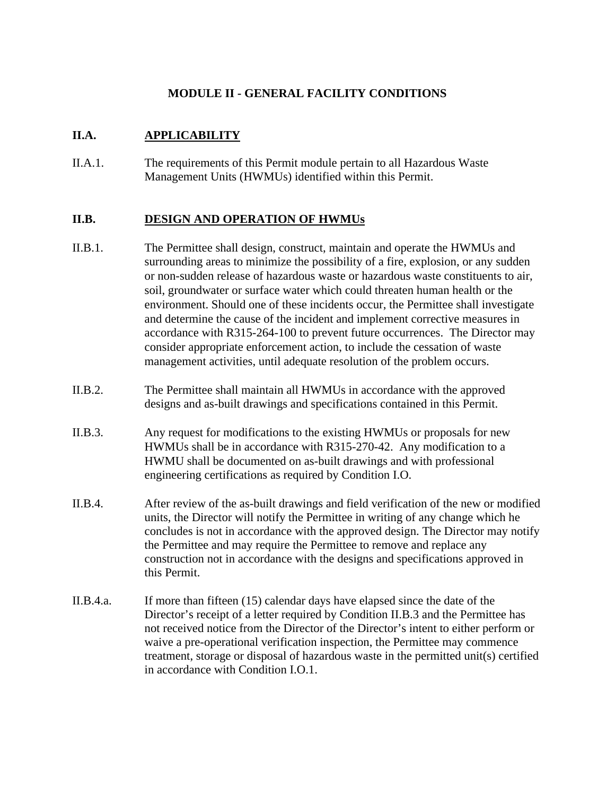# **MODULE II - GENERAL FACILITY CONDITIONS**

# **II.A. APPLICABILITY**

II.A.1. The requirements of this Permit module pertain to all Hazardous Waste Management Units (HWMUs) identified within this Permit.

# **II.B. DESIGN AND OPERATION OF HWMUs**

- II.B.1. The Permittee shall design, construct, maintain and operate the HWMUs and surrounding areas to minimize the possibility of a fire, explosion, or any sudden or non-sudden release of hazardous waste or hazardous waste constituents to air, soil, groundwater or surface water which could threaten human health or the environment. Should one of these incidents occur, the Permittee shall investigate and determine the cause of the incident and implement corrective measures in accordance with R315-264-100 to prevent future occurrences. The Director may consider appropriate enforcement action, to include the cessation of waste management activities, until adequate resolution of the problem occurs.
- II.B.2. The Permittee shall maintain all HWMUs in accordance with the approved designs and as-built drawings and specifications contained in this Permit.
- II.B.3. Any request for modifications to the existing HWMUs or proposals for new HWMUs shall be in accordance with R315-270-42. Any modification to a HWMU shall be documented on as-built drawings and with professional engineering certifications as required by Condition I.O.
- II.B.4. After review of the as-built drawings and field verification of the new or modified units, the Director will notify the Permittee in writing of any change which he concludes is not in accordance with the approved design. The Director may notify the Permittee and may require the Permittee to remove and replace any construction not in accordance with the designs and specifications approved in this Permit.
- II.B.4.a. If more than fifteen (15) calendar days have elapsed since the date of the Director's receipt of a letter required by Condition II.B.3 and the Permittee has not received notice from the Director of the Director's intent to either perform or waive a pre-operational verification inspection, the Permittee may commence treatment, storage or disposal of hazardous waste in the permitted unit(s) certified in accordance with Condition I.O.1.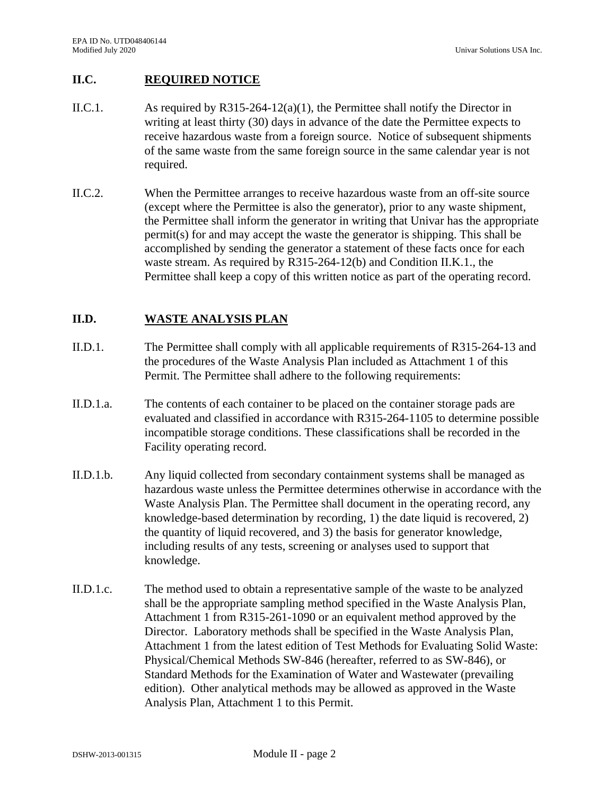### **II.C. REQUIRED NOTICE**

- II.C.1. As required by R315-264-12(a)(1), the Permittee shall notify the Director in writing at least thirty (30) days in advance of the date the Permittee expects to receive hazardous waste from a foreign source. Notice of subsequent shipments of the same waste from the same foreign source in the same calendar year is not required.
- II.C.2. When the Permittee arranges to receive hazardous waste from an off-site source (except where the Permittee is also the generator), prior to any waste shipment, the Permittee shall inform the generator in writing that Univar has the appropriate permit(s) for and may accept the waste the generator is shipping. This shall be accomplished by sending the generator a statement of these facts once for each waste stream. As required by R315-264-12(b) and Condition II.K.1., the Permittee shall keep a copy of this written notice as part of the operating record.

### **II.D. WASTE ANALYSIS PLAN**

- II.D.1. The Permittee shall comply with all applicable requirements of R315-264-13 and the procedures of the Waste Analysis Plan included as Attachment 1 of this Permit. The Permittee shall adhere to the following requirements:
- II.D.1.a. The contents of each container to be placed on the container storage pads are evaluated and classified in accordance with R315-264-1105 to determine possible incompatible storage conditions. These classifications shall be recorded in the Facility operating record.
- II.D.1.b. Any liquid collected from secondary containment systems shall be managed as hazardous waste unless the Permittee determines otherwise in accordance with the Waste Analysis Plan. The Permittee shall document in the operating record, any knowledge-based determination by recording, 1) the date liquid is recovered, 2) the quantity of liquid recovered, and 3) the basis for generator knowledge, including results of any tests, screening or analyses used to support that knowledge.
- II.D.1.c. The method used to obtain a representative sample of the waste to be analyzed shall be the appropriate sampling method specified in the Waste Analysis Plan, Attachment 1 from R315-261-1090 or an equivalent method approved by the Director. Laboratory methods shall be specified in the Waste Analysis Plan, Attachment 1 from the latest edition of Test Methods for Evaluating Solid Waste: Physical/Chemical Methods SW-846 (hereafter, referred to as SW-846), or Standard Methods for the Examination of Water and Wastewater (prevailing edition). Other analytical methods may be allowed as approved in the Waste Analysis Plan, Attachment 1 to this Permit.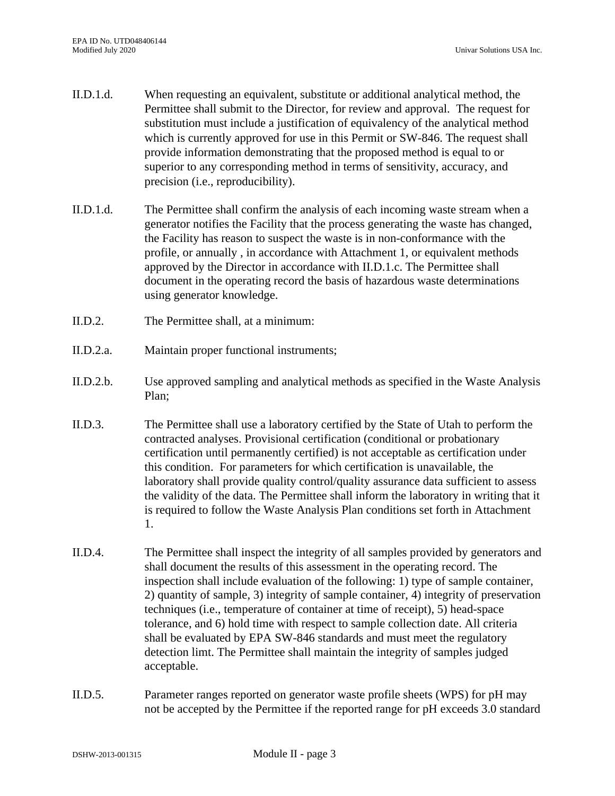- II.D.1.d. When requesting an equivalent, substitute or additional analytical method, the Permittee shall submit to the Director, for review and approval. The request for substitution must include a justification of equivalency of the analytical method which is currently approved for use in this Permit or SW-846. The request shall provide information demonstrating that the proposed method is equal to or superior to any corresponding method in terms of sensitivity, accuracy, and precision (i.e., reproducibility).
- II.D.1.d. The Permittee shall confirm the analysis of each incoming waste stream when a generator notifies the Facility that the process generating the waste has changed, the Facility has reason to suspect the waste is in non-conformance with the profile, or annually , in accordance with Attachment 1, or equivalent methods approved by the Director in accordance with II.D.1.c. The Permittee shall document in the operating record the basis of hazardous waste determinations using generator knowledge.
- II.D.2. The Permittee shall, at a minimum:
- II.D.2.a. Maintain proper functional instruments;
- II.D.2.b. Use approved sampling and analytical methods as specified in the Waste Analysis Plan;
- II.D.3. The Permittee shall use a laboratory certified by the State of Utah to perform the contracted analyses. Provisional certification (conditional or probationary certification until permanently certified) is not acceptable as certification under this condition. For parameters for which certification is unavailable, the laboratory shall provide quality control/quality assurance data sufficient to assess the validity of the data. The Permittee shall inform the laboratory in writing that it is required to follow the Waste Analysis Plan conditions set forth in Attachment 1.
- II.D.4. The Permittee shall inspect the integrity of all samples provided by generators and shall document the results of this assessment in the operating record. The inspection shall include evaluation of the following: 1) type of sample container, 2) quantity of sample, 3) integrity of sample container, 4) integrity of preservation techniques (i.e., temperature of container at time of receipt), 5) head-space tolerance, and 6) hold time with respect to sample collection date. All criteria shall be evaluated by EPA SW-846 standards and must meet the regulatory detection limt. The Permittee shall maintain the integrity of samples judged acceptable.
- II.D.5. Parameter ranges reported on generator waste profile sheets (WPS) for pH may not be accepted by the Permittee if the reported range for pH exceeds 3.0 standard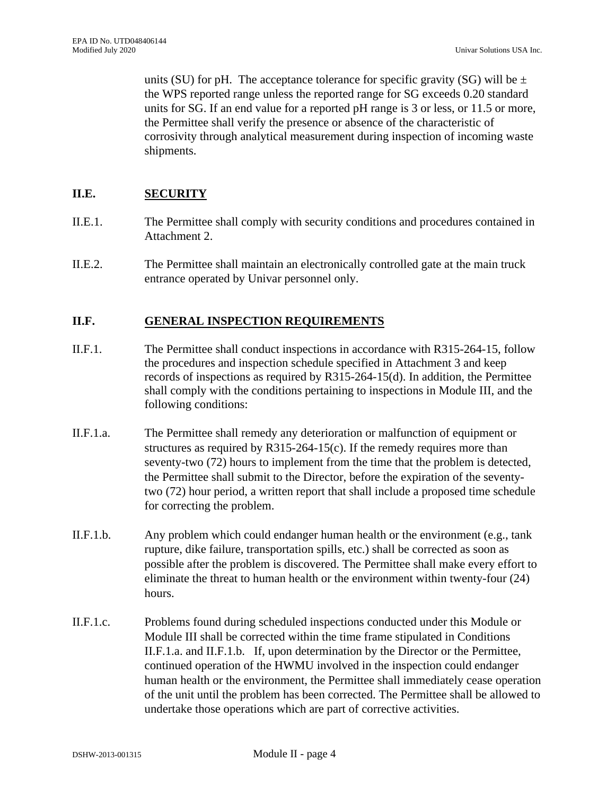units (SU) for pH. The acceptance tolerance for specific gravity (SG) will be  $\pm$ the WPS reported range unless the reported range for SG exceeds 0.20 standard units for SG. If an end value for a reported pH range is 3 or less, or 11.5 or more, the Permittee shall verify the presence or absence of the characteristic of corrosivity through analytical measurement during inspection of incoming waste shipments.

### **II.E. SECURITY**

- II.E.1. The Permittee shall comply with security conditions and procedures contained in Attachment 2.
- II.E.2. The Permittee shall maintain an electronically controlled gate at the main truck entrance operated by Univar personnel only.

#### **II.F. GENERAL INSPECTION REQUIREMENTS**

- II.F.1. The Permittee shall conduct inspections in accordance with R315-264-15, follow the procedures and inspection schedule specified in Attachment 3 and keep records of inspections as required by R315-264-15(d). In addition, the Permittee shall comply with the conditions pertaining to inspections in Module III, and the following conditions:
- II.F.1.a. The Permittee shall remedy any deterioration or malfunction of equipment or structures as required by  $R315-264-15(c)$ . If the remedy requires more than seventy-two (72) hours to implement from the time that the problem is detected, the Permittee shall submit to the Director, before the expiration of the seventytwo (72) hour period, a written report that shall include a proposed time schedule for correcting the problem.
- II.F.1.b. Any problem which could endanger human health or the environment (e.g., tank rupture, dike failure, transportation spills, etc.) shall be corrected as soon as possible after the problem is discovered. The Permittee shall make every effort to eliminate the threat to human health or the environment within twenty-four (24) hours.
- II.F.1.c. Problems found during scheduled inspections conducted under this Module or Module III shall be corrected within the time frame stipulated in Conditions II.F.1.a. and II.F.1.b. If, upon determination by the Director or the Permittee, continued operation of the HWMU involved in the inspection could endanger human health or the environment, the Permittee shall immediately cease operation of the unit until the problem has been corrected. The Permittee shall be allowed to undertake those operations which are part of corrective activities.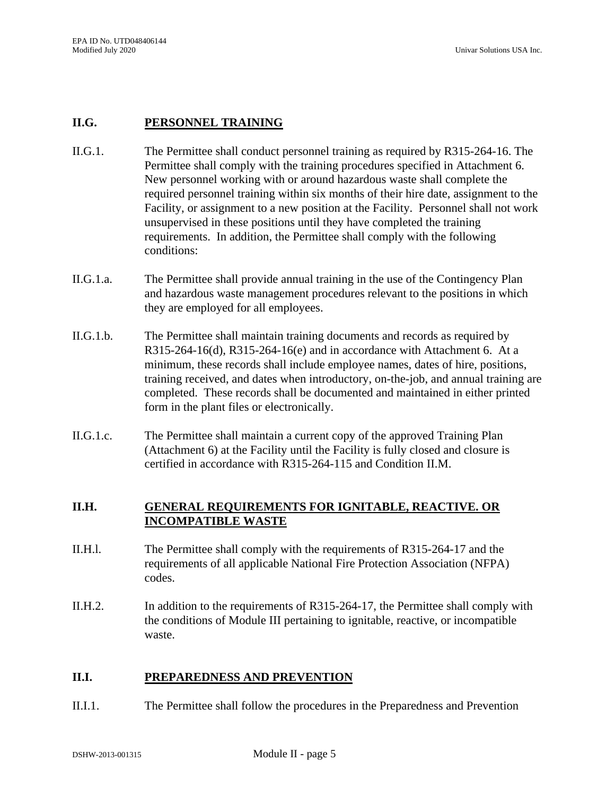### **II.G. PERSONNEL TRAINING**

- II.G.1. The Permittee shall conduct personnel training as required by R315-264-16. The Permittee shall comply with the training procedures specified in Attachment 6. New personnel working with or around hazardous waste shall complete the required personnel training within six months of their hire date, assignment to the Facility, or assignment to a new position at the Facility. Personnel shall not work unsupervised in these positions until they have completed the training requirements. In addition, the Permittee shall comply with the following conditions:
- II.G.1.a. The Permittee shall provide annual training in the use of the Contingency Plan and hazardous waste management procedures relevant to the positions in which they are employed for all employees.
- II.G.1.b. The Permittee shall maintain training documents and records as required by  $R315-264-16(d)$ ,  $R315-264-16(e)$  and in accordance with Attachment 6. At a minimum, these records shall include employee names, dates of hire, positions, training received, and dates when introductory, on-the-job, and annual training are completed. These records shall be documented and maintained in either printed form in the plant files or electronically.
- II.G.1.c. The Permittee shall maintain a current copy of the approved Training Plan (Attachment 6) at the Facility until the Facility is fully closed and closure is certified in accordance with R315-264-115 and Condition II.M.

# **II.H. GENERAL REQUIREMENTS FOR IGNITABLE, REACTIVE. OR INCOMPATIBLE WASTE**

- II.H.l. The Permittee shall comply with the requirements of R315-264-17 and the requirements of all applicable National Fire Protection Association (NFPA) codes.
- II.H.2. In addition to the requirements of R315-264-17, the Permittee shall comply with the conditions of Module III pertaining to ignitable, reactive, or incompatible waste.

#### **II.I. PREPAREDNESS AND PREVENTION**

II.I.1. The Permittee shall follow the procedures in the Preparedness and Prevention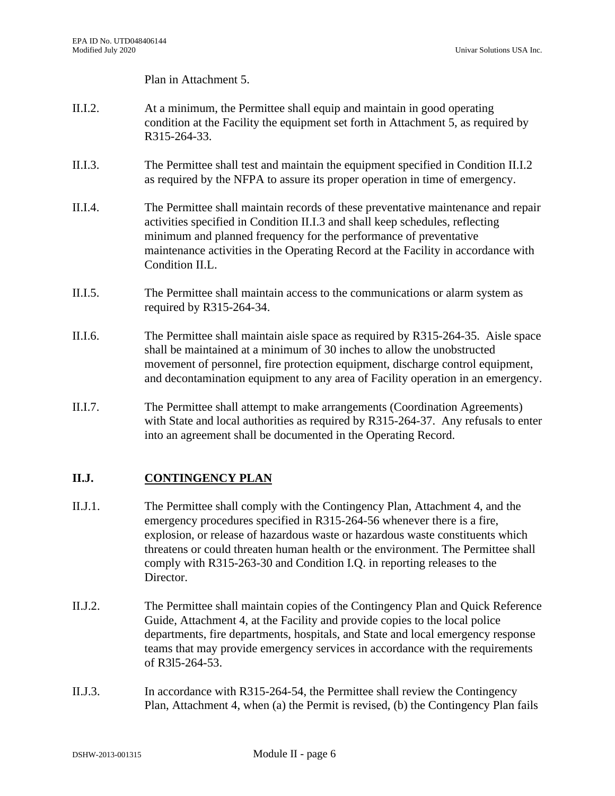Univar Solutions USA Inc.

Plan in Attachment 5.

- II.I.2. At a minimum, the Permittee shall equip and maintain in good operating condition at the Facility the equipment set forth in Attachment 5, as required by R315-264-33.
- II.I.3. The Permittee shall test and maintain the equipment specified in Condition II.I.2 as required by the NFPA to assure its proper operation in time of emergency.
- II.I.4. The Permittee shall maintain records of these preventative maintenance and repair activities specified in Condition II.I.3 and shall keep schedules, reflecting minimum and planned frequency for the performance of preventative maintenance activities in the Operating Record at the Facility in accordance with Condition II.L.
- II.I.5. The Permittee shall maintain access to the communications or alarm system as required by R315-264-34.
- II.I.6. The Permittee shall maintain aisle space as required by R315-264-35. Aisle space shall be maintained at a minimum of 30 inches to allow the unobstructed movement of personnel, fire protection equipment, discharge control equipment, and decontamination equipment to any area of Facility operation in an emergency.
- II.I.7. The Permittee shall attempt to make arrangements (Coordination Agreements) with State and local authorities as required by R315-264-37. Any refusals to enter into an agreement shall be documented in the Operating Record.

# **II.J. CONTINGENCY PLAN**

- II.J.1. The Permittee shall comply with the Contingency Plan, Attachment 4, and the emergency procedures specified in R315-264-56 whenever there is a fire, explosion, or release of hazardous waste or hazardous waste constituents which threatens or could threaten human health or the environment. The Permittee shall comply with R315-263-30 and Condition I.Q. in reporting releases to the Director.
- II.J.2. The Permittee shall maintain copies of the Contingency Plan and Quick Reference Guide, Attachment 4, at the Facility and provide copies to the local police departments, fire departments, hospitals, and State and local emergency response teams that may provide emergency services in accordance with the requirements of R3l5-264-53.
- II.J.3. In accordance with R315-264-54, the Permittee shall review the Contingency Plan, Attachment 4, when (a) the Permit is revised, (b) the Contingency Plan fails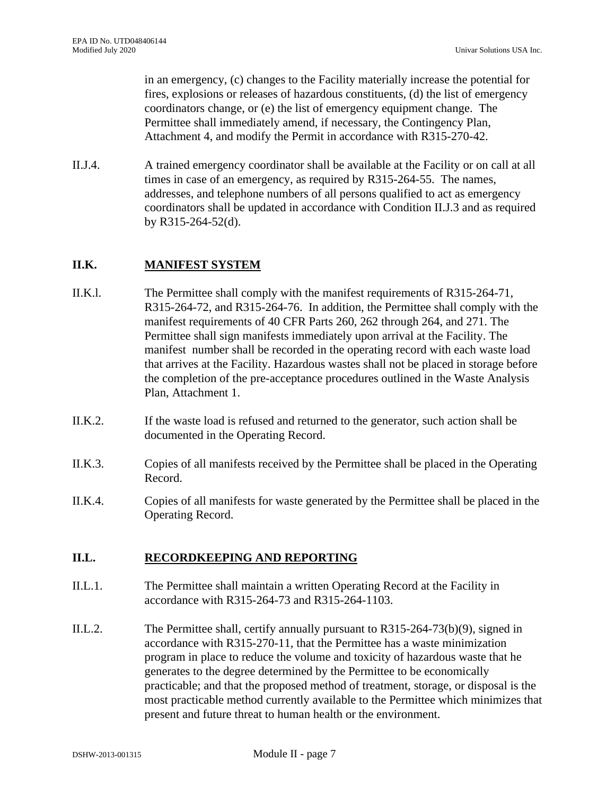in an emergency, (c) changes to the Facility materially increase the potential for fires, explosions or releases of hazardous constituents, (d) the list of emergency coordinators change, or (e) the list of emergency equipment change. The Permittee shall immediately amend, if necessary, the Contingency Plan, Attachment 4, and modify the Permit in accordance with R315-270-42.

II.J.4. A trained emergency coordinator shall be available at the Facility or on call at all times in case of an emergency, as required by R315-264-55. The names, addresses, and telephone numbers of all persons qualified to act as emergency coordinators shall be updated in accordance with Condition II.J.3 and as required by R315-264-52(d).

### **II.K. MANIFEST SYSTEM**

- II.K.l. The Permittee shall comply with the manifest requirements of R315-264-71, R315-264-72, and R315-264-76. In addition, the Permittee shall comply with the manifest requirements of 40 CFR Parts 260, 262 through 264, and 271. The Permittee shall sign manifests immediately upon arrival at the Facility. The manifest number shall be recorded in the operating record with each waste load that arrives at the Facility. Hazardous wastes shall not be placed in storage before the completion of the pre-acceptance procedures outlined in the Waste Analysis Plan, Attachment 1.
- II.K.2. If the waste load is refused and returned to the generator, such action shall be documented in the Operating Record.
- II.K.3. Copies of all manifests received by the Permittee shall be placed in the Operating Record.
- II.K.4. Copies of all manifests for waste generated by the Permittee shall be placed in the Operating Record.

#### **II.L. RECORDKEEPING AND REPORTING**

- II.L.1. The Permittee shall maintain a written Operating Record at the Facility in accordance with R315-264-73 and R315-264-1103.
- II.L.2. The Permittee shall, certify annually pursuant to R315-264-73(b)(9), signed in accordance with R315-270-11, that the Permittee has a waste minimization program in place to reduce the volume and toxicity of hazardous waste that he generates to the degree determined by the Permittee to be economically practicable; and that the proposed method of treatment, storage, or disposal is the most practicable method currently available to the Permittee which minimizes that present and future threat to human health or the environment.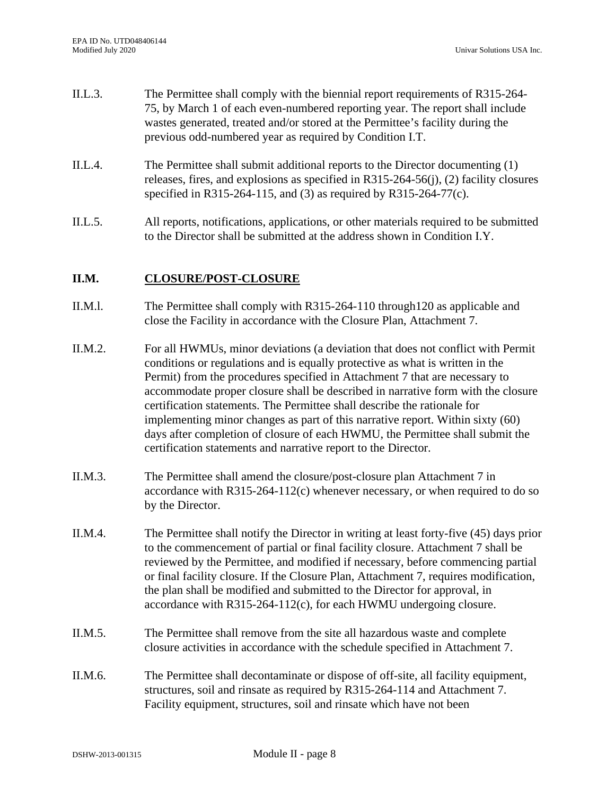- II.L.3. The Permittee shall comply with the biennial report requirements of R315-264- 75, by March 1 of each even-numbered reporting year. The report shall include wastes generated, treated and/or stored at the Permittee's facility during the previous odd-numbered year as required by Condition I.T.
- II.L.4. The Permittee shall submit additional reports to the Director documenting (1) releases, fires, and explosions as specified in R315-264-56(j), (2) facility closures specified in R315-264-115, and (3) as required by R315-264-77(c).
- II.L.5. All reports, notifications, applications, or other materials required to be submitted to the Director shall be submitted at the address shown in Condition I.Y.

### **II.M. CLOSURE/POST-CLOSURE**

- II.M.l. The Permittee shall comply with R315-264-110 through120 as applicable and close the Facility in accordance with the Closure Plan, Attachment 7.
- II.M.2. For all HWMUs, minor deviations (a deviation that does not conflict with Permit conditions or regulations and is equally protective as what is written in the Permit) from the procedures specified in Attachment 7 that are necessary to accommodate proper closure shall be described in narrative form with the closure certification statements. The Permittee shall describe the rationale for implementing minor changes as part of this narrative report. Within sixty (60) days after completion of closure of each HWMU, the Permittee shall submit the certification statements and narrative report to the Director.
- II.M.3. The Permittee shall amend the closure/post-closure plan Attachment 7 in accordance with R315-264-112(c) whenever necessary, or when required to do so by the Director.
- II.M.4. The Permittee shall notify the Director in writing at least forty-five (45) days prior to the commencement of partial or final facility closure. Attachment 7 shall be reviewed by the Permittee, and modified if necessary, before commencing partial or final facility closure. If the Closure Plan, Attachment 7, requires modification, the plan shall be modified and submitted to the Director for approval, in accordance with R315-264-112(c), for each HWMU undergoing closure.
- II.M.5. The Permittee shall remove from the site all hazardous waste and complete closure activities in accordance with the schedule specified in Attachment 7.
- II.M.6. The Permittee shall decontaminate or dispose of off-site, all facility equipment, structures, soil and rinsate as required by R315-264-114 and Attachment 7. Facility equipment, structures, soil and rinsate which have not been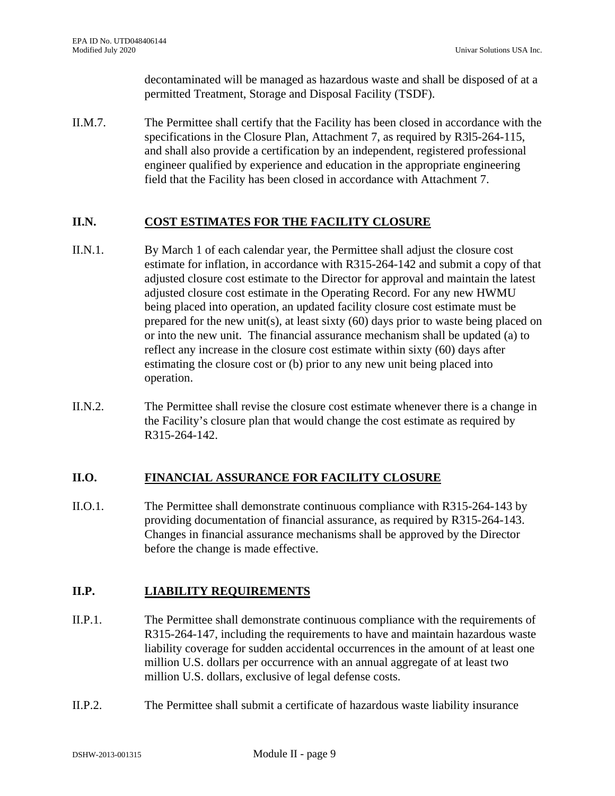decontaminated will be managed as hazardous waste and shall be disposed of at a permitted Treatment, Storage and Disposal Facility (TSDF).

II.M.7. The Permittee shall certify that the Facility has been closed in accordance with the specifications in the Closure Plan, Attachment 7, as required by R3l5-264-115, and shall also provide a certification by an independent, registered professional engineer qualified by experience and education in the appropriate engineering field that the Facility has been closed in accordance with Attachment 7.

# **II.N. COST ESTIMATES FOR THE FACILITY CLOSURE**

- II.N.1. By March 1 of each calendar year, the Permittee shall adjust the closure cost estimate for inflation, in accordance with R315-264-142 and submit a copy of that adjusted closure cost estimate to the Director for approval and maintain the latest adjusted closure cost estimate in the Operating Record. For any new HWMU being placed into operation, an updated facility closure cost estimate must be prepared for the new unit(s), at least sixty (60) days prior to waste being placed on or into the new unit. The financial assurance mechanism shall be updated (a) to reflect any increase in the closure cost estimate within sixty (60) days after estimating the closure cost or (b) prior to any new unit being placed into operation.
- II.N.2. The Permittee shall revise the closure cost estimate whenever there is a change in the Facility's closure plan that would change the cost estimate as required by R315-264-142.

# **II.O. FINANCIAL ASSURANCE FOR FACILITY CLOSURE**

II.O.1. The Permittee shall demonstrate continuous compliance with R315-264-143 by providing documentation of financial assurance, as required by R315-264-143. Changes in financial assurance mechanisms shall be approved by the Director before the change is made effective.

# **II.P. LIABILITY REQUIREMENTS**

- II.P.1. The Permittee shall demonstrate continuous compliance with the requirements of R315-264-147, including the requirements to have and maintain hazardous waste liability coverage for sudden accidental occurrences in the amount of at least one million U.S. dollars per occurrence with an annual aggregate of at least two million U.S. dollars, exclusive of legal defense costs.
- II.P.2. The Permittee shall submit a certificate of hazardous waste liability insurance